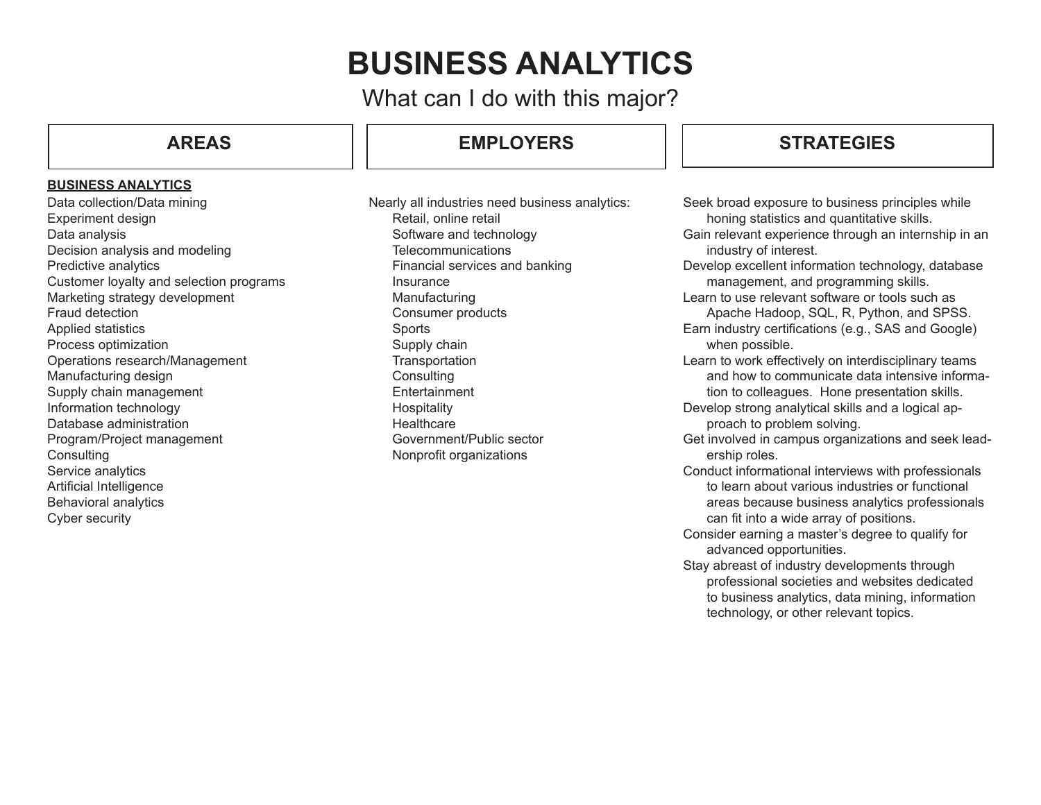# **BUSINESS ANALYTICS**

What can I do with this major?

# **AREAS**

### **BUSINESS ANALYTICS**

Data collection/Data mining Experiment design Data analysis Decision analysis and modeling Predictive analytics Customer loyalty and selection programs Marketing strategy development Fraud detection Applied statistics Process optimization Operations research/Management Manufacturing design Supply chain management Information technology Database administration Program/Project management **Consulting** Service analytics Artificial Intelligence Behavioral analytics Cyber security

# **STRATEGIES EMPLOYERS STRATEGIES**

Nearly all industries need business analytics: Retail, online retail Software and technology **Telecommunications** Financial services and banking **Insurance** Manufacturing Consumer products Sports Supply chain **Transportation Consulting** Entertainment Hospitality **Healthcare** Government/Public sector Nonprofit organizations

- Seek broad exposure to business principles while honing statistics and quantitative skills.
- Gain relevant experience through an internship in an industry of interest.
- Develop excellent information technology, database management, and programming skills.
- Learn to use relevant software or tools such as Apache Hadoop, SQL, R, Python, and SPSS.
- Earn industry certifications (e.g., SAS and Google) when possible.
- Learn to work effectively on interdisciplinary teams and how to communicate data intensive information to colleagues. Hone presentation skills.
- Develop strong analytical skills and a logical approach to problem solving.
- Get involved in campus organizations and seek leadership roles.
- Conduct informational interviews with professionals to learn about various industries or functional areas because business analytics professionals can fit into a wide array of positions.
- Consider earning a master's degree to qualify for advanced opportunities.
- Stay abreast of industry developments through professional societies and websites dedicated to business analytics, data mining, information technology, or other relevant topics.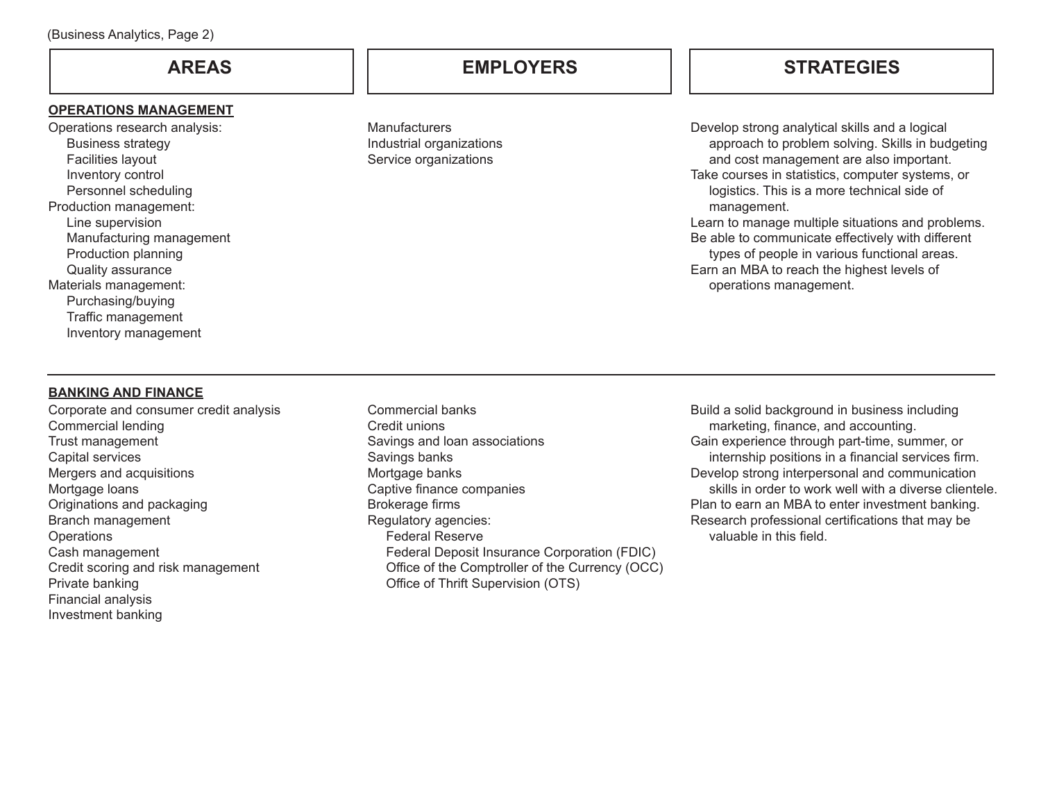### **OPERATIONS MANAGEMENT**

Operations research analysis: Business strategy Facilities layout Inventory control Personnel scheduling Production management: Line supervision Manufacturing management Production planning Quality assurance Materials management: Purchasing/buying Traffic management Inventory management

**Manufacturers** Industrial organizations Service organizations

**AREAS EMPLOYERS STRATEGIES**

Develop strong analytical skills and a logical approach to problem solving. Skills in budgeting and cost management are also important. Take courses in statistics, computer systems, or logistics. This is a more technical side of management. Learn to manage multiple situations and problems. Be able to communicate effectively with different types of people in various functional areas.

Earn an MBA to reach the highest levels of operations management.

### **BANKING AND FINANCE**

Corporate and consumer credit analysis Commercial lending Trust management Capital services Mergers and acquisitions Mortgage loans Originations and packaging Branch management **Operations** Cash management Credit scoring and risk management Private banking Financial analysis Investment banking

Commercial banks Credit unions Savings and loan associations Savings banks Mortgage banks Captive finance companies Brokerage firms Regulatory agencies: Federal Reserve Federal Deposit Insurance Corporation (FDIC) Office of the Comptroller of the Currency (OCC) Office of Thrift Supervision (OTS)

Build a solid background in business including marketing, finance, and accounting. Gain experience through part-time, summer, or internship positions in a financial services firm. Develop strong interpersonal and communication skills in order to work well with a diverse clientele. Plan to earn an MBA to enter investment banking. Research professional certifications that may be valuable in this field.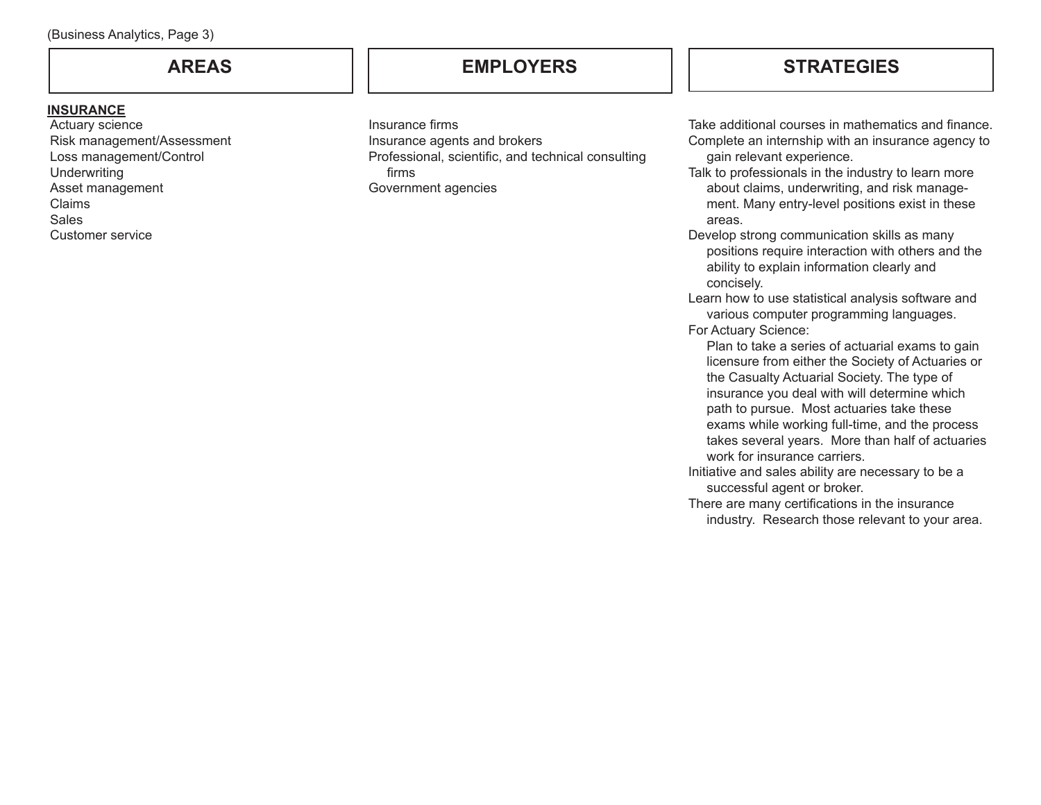### **INSURANCE**

Actuary science Risk management/Assessment Loss management/Control **Underwriting** Asset management Claims Sales Customer service

# **AREAS EMPLOYERS STRATEGIES**

Insurance firms Insurance agents and brokers Professional, scientific, and technical consulting firms Government agencies

Take additional courses in mathematics and finance. Complete an internship with an insurance agency to gain relevant experience.

Talk to professionals in the industry to learn more about claims, underwriting, and risk management. Many entry-level positions exist in these areas.

Develop strong communication skills as many positions require interaction with others and the ability to explain information clearly and concisely.

Learn how to use statistical analysis software and various computer programming languages. For Actuary Science:

Plan to take a series of actuarial exams to gain licensure from either the Society of Actuaries or the Casualty Actuarial Society. The type of insurance you deal with will determine which path to pursue. Most actuaries take these exams while working full-time, and the process takes several years. More than half of actuaries work for insurance carriers.

- Initiative and sales ability are necessary to be a successful agent or broker.
- There are many certifications in the insurance industry. Research those relevant to your area.